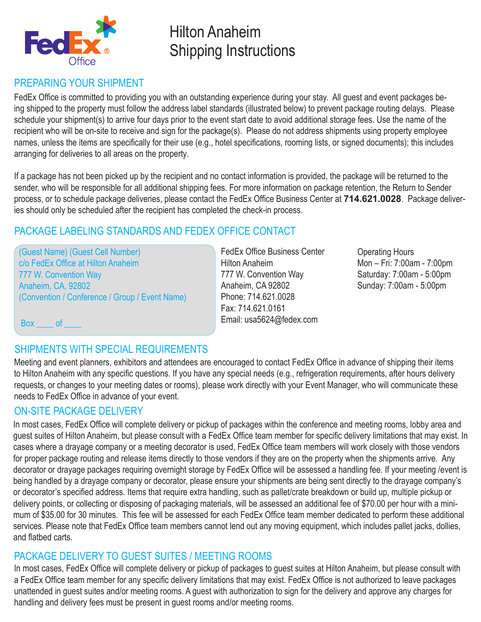

# Hilton Anaheim Shipping Instructions

### PREPARING YOUR SHIPMENT

FedEx Office is committed to providing you with an outstanding experience during your stay. All guest and event packages being shipped to the property must follow the address label standards (illustrated below) to prevent package routing delays. Please schedule your shipment(s) to arrive four days prior to the event start date to avoid additional storage fees. Use the name of the recipient who will be on-site to receive and sign for the package(s). Please do not address shipments using property employee names, unless the items are specifically for their use (e.g., hotel specifications, rooming lists, or signed documents); this includes arranging for deliveries to all areas on the property.

If a package has not been picked up by the recipient and no contact information is provided, the package will be returned to the sender, who will be responsible for all additional shipping fees. For more information on package retention, the Return to Sender process, or to schedule package deliveries, please contact the FedEx Office Business Center at **714.621.0028**. Package deliveries should only be scheduled after the recipient has completed the check-in process.

### PACKAGE LABELING STANDARDS AND FEDEX OFFICE CONTACT

(Guest Name) (Guest Cell Number) c/o FedEx Office at Hilton Anaheim 777 W. Convention Way Anaheim, CA, 92802 (Convention / Conference / Group / Event Name)

FedEx Office Business Center Hilton Anaheim 777 W. Convention Way Anaheim, CA 92802 Phone: 714.621.0028 Fax: 714.621.0161 Email: usa5624@fedex.com

Operating Hours Mon – Fri: 7:00am - 7:00pm Saturday: 7:00am - 5:00pm Sunday: 7:00am - 5:00pm

Box of

### SHIPMENTS WITH SPECIAL REQUIREMENTS

Meeting and event planners, exhibitors and attendees are encouraged to contact FedEx Office in advance of shipping their items to Hilton Anaheim with any specific questions. If you have any special needs (e.g., refrigeration requirements, after hours delivery requests, or changes to your meeting dates or rooms), please work directly with your Event Manager, who will communicate these needs to FedEx Office in advance of your event.

### ON-SITE PACKAGE DELIVERY

In most cases, FedEx Office will complete delivery or pickup of packages within the conference and meeting rooms, lobby area and guest suites of Hilton Anaheim, but please consult with a FedEx Office team member for specific delivery limitations that may exist. In cases where a drayage company or a meeting decorator is used, FedEx Office team members will work closely with those vendors for proper package routing and release items directly to those vendors if they are on the property when the shipments arrive. Any decorator or drayage packages requiring overnight storage by FedEx Office will be assessed a handling fee. If your meeting /event is being handled by a drayage company or decorator, please ensure your shipments are being sent directly to the drayage company's or decorator's specified address. Items that require extra handling, such as pallet/crate breakdown or build up, multiple pickup or delivery points, or collecting or disposing of packaging materials, will be assessed an additional fee of \$70.00 per hour with a minimum of \$35.00 for 30 minutes. This fee will be assessed for each FedEx Office team member dedicated to perform these additional services. Please note that FedEx Office team members cannot lend out any moving equipment, which includes pallet jacks, dollies, and flatbed carts.

### PACKAGE DELIVERY TO GUEST SUITES / MEETING ROOMS

In most cases, FedEx Office will complete delivery or pickup of packages to guest suites at Hilton Anaheim, but please consult with a FedEx Office team member for any specific delivery limitations that may exist. FedEx Office is not authorized to leave packages unattended in guest suites and/or meeting rooms. A guest with authorization to sign for the delivery and approve any charges for handling and delivery fees must be present in guest rooms and/or meeting rooms.